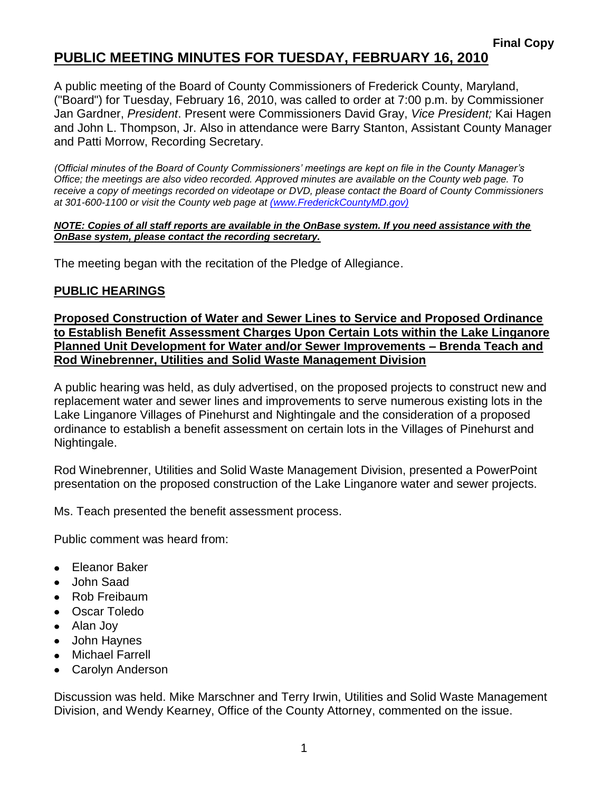## **PUBLIC MEETING MINUTES FOR TUESDAY, FEBRUARY 16, 2010**

A public meeting of the Board of County Commissioners of Frederick County, Maryland, ("Board") for Tuesday, February 16, 2010, was called to order at 7:00 p.m. by Commissioner Jan Gardner, *President*. Present were Commissioners David Gray, *Vice President;* Kai Hagen and John L. Thompson, Jr. Also in attendance were Barry Stanton, Assistant County Manager and Patti Morrow, Recording Secretary.

*(Official minutes of the Board of County Commissioners' meetings are kept on file in the County Manager's Office; the meetings are also video recorded. Approved minutes are available on the County web page. To receive a copy of meetings recorded on videotape or DVD, please contact the Board of County Commissioners at 301-600-1100 or visit the County web page at [\(www.FrederickCountyMD.gov\)](file:\\NT1S5\BOCC\BOCC\BOCC%20Minutes\Patti)*

#### *NOTE: Copies of all staff reports are available in the OnBase system. If you need assistance with the OnBase system, please contact the recording secretary.*

The meeting began with the recitation of the Pledge of Allegiance.

### **PUBLIC HEARINGS**

**Proposed Construction of Water and Sewer Lines to Service and Proposed Ordinance to Establish Benefit Assessment Charges Upon Certain Lots within the Lake Linganore Planned Unit Development for Water and/or Sewer Improvements – Brenda Teach and Rod Winebrenner, Utilities and Solid Waste Management Division**

A public hearing was held, as duly advertised, on the proposed projects to construct new and replacement water and sewer lines and improvements to serve numerous existing lots in the Lake Linganore Villages of Pinehurst and Nightingale and the consideration of a proposed ordinance to establish a benefit assessment on certain lots in the Villages of Pinehurst and Nightingale.

Rod Winebrenner, Utilities and Solid Waste Management Division, presented a PowerPoint presentation on the proposed construction of the Lake Linganore water and sewer projects.

Ms. Teach presented the benefit assessment process.

Public comment was heard from:

- Eleanor Baker
- John Saad
- Rob Freibaum
- Oscar Toledo
- Alan Joy
- John Haynes
- Michael Farrell
- Carolyn Anderson

Discussion was held. Mike Marschner and Terry Irwin, Utilities and Solid Waste Management Division, and Wendy Kearney, Office of the County Attorney, commented on the issue.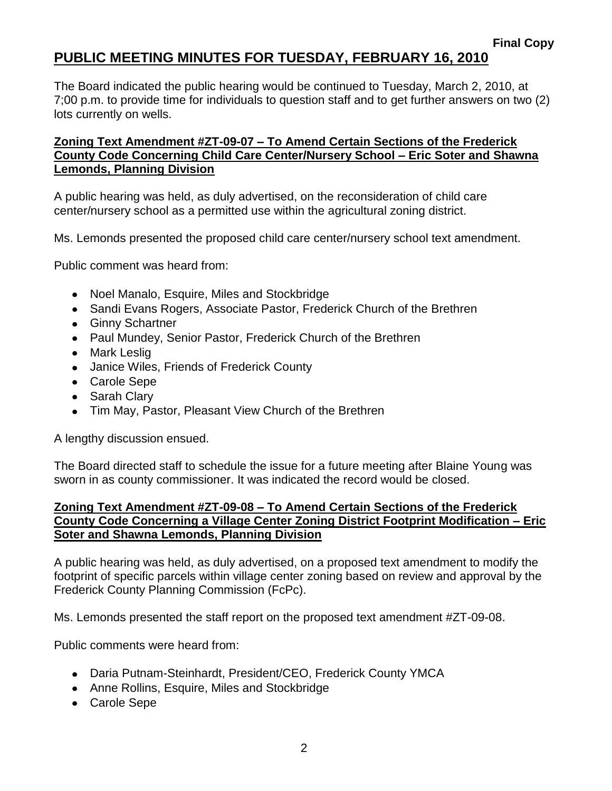### **PUBLIC MEETING MINUTES FOR TUESDAY, FEBRUARY 16, 2010**

The Board indicated the public hearing would be continued to Tuesday, March 2, 2010, at 7;00 p.m. to provide time for individuals to question staff and to get further answers on two (2) lots currently on wells.

#### **Zoning Text Amendment #ZT-09-07 – To Amend Certain Sections of the Frederick County Code Concerning Child Care Center/Nursery School – Eric Soter and Shawna Lemonds, Planning Division**

A public hearing was held, as duly advertised, on the reconsideration of child care center/nursery school as a permitted use within the agricultural zoning district.

Ms. Lemonds presented the proposed child care center/nursery school text amendment.

Public comment was heard from:

- Noel Manalo, Esquire, Miles and Stockbridge
- Sandi Evans Rogers, Associate Pastor, Frederick Church of the Brethren
- Ginny Schartner
- Paul Mundey, Senior Pastor, Frederick Church of the Brethren
- Mark Leslig
- Janice Wiles, Friends of Frederick County
- Carole Sepe
- Sarah Clary
- Tim May, Pastor, Pleasant View Church of the Brethren

A lengthy discussion ensued.

The Board directed staff to schedule the issue for a future meeting after Blaine Young was sworn in as county commissioner. It was indicated the record would be closed.

#### **Zoning Text Amendment #ZT-09-08 – To Amend Certain Sections of the Frederick County Code Concerning a Village Center Zoning District Footprint Modification – Eric Soter and Shawna Lemonds, Planning Division**

A public hearing was held, as duly advertised, on a proposed text amendment to modify the footprint of specific parcels within village center zoning based on review and approval by the Frederick County Planning Commission (FcPc).

Ms. Lemonds presented the staff report on the proposed text amendment #ZT-09-08.

Public comments were heard from:

- Daria Putnam-Steinhardt, President/CEO, Frederick County YMCA
- Anne Rollins, Esquire, Miles and Stockbridge
- Carole Sepe